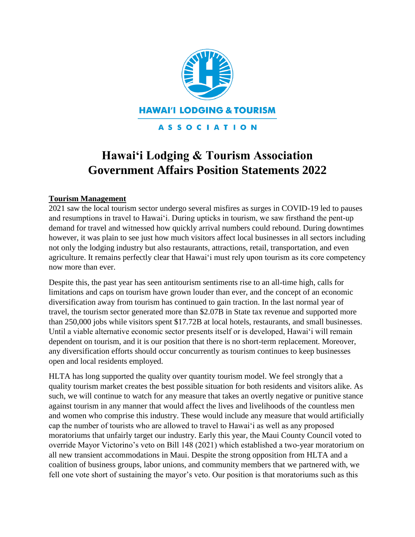

#### **ASSOCIATION**

# **Hawai'i Lodging & Tourism Association Government Affairs Position Statements 2022**

# **Tourism Management**

2021 saw the local tourism sector undergo several misfires as surges in COVID-19 led to pauses and resumptions in travel to Hawai'i. During upticks in tourism, we saw firsthand the pent-up demand for travel and witnessed how quickly arrival numbers could rebound. During downtimes however, it was plain to see just how much visitors affect local businesses in all sectors including not only the lodging industry but also restaurants, attractions, retail, transportation, and even agriculture. It remains perfectly clear that Hawai'i must rely upon tourism as its core competency now more than ever.

Despite this, the past year has seen antitourism sentiments rise to an all-time high, calls for limitations and caps on tourism have grown louder than ever, and the concept of an economic diversification away from tourism has continued to gain traction. In the last normal year of travel, the tourism sector generated more than \$2.07B in State tax revenue and supported more than 250,000 jobs while visitors spent \$17.72B at local hotels, restaurants, and small businesses. Until a viable alternative economic sector presents itself or is developed, Hawai'i will remain dependent on tourism, and it is our position that there is no short-term replacement. Moreover, any diversification efforts should occur concurrently as tourism continues to keep businesses open and local residents employed.

HLTA has long supported the quality over quantity tourism model. We feel strongly that a quality tourism market creates the best possible situation for both residents and visitors alike. As such, we will continue to watch for any measure that takes an overtly negative or punitive stance against tourism in any manner that would affect the lives and livelihoods of the countless men and women who comprise this industry. These would include any measure that would artificially cap the number of tourists who are allowed to travel to Hawai'i as well as any proposed moratoriums that unfairly target our industry. Early this year, the Maui County Council voted to override Mayor Victorino's veto on Bill 148 (2021) which established a two-year moratorium on all new transient accommodations in Maui. Despite the strong opposition from HLTA and a coalition of business groups, labor unions, and community members that we partnered with, we fell one vote short of sustaining the mayor's veto. Our position is that moratoriums such as this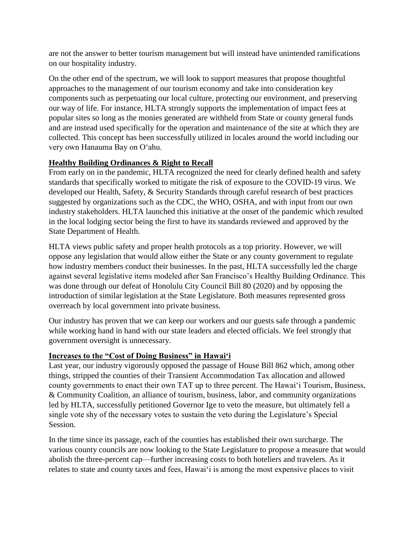are not the answer to better tourism management but will instead have unintended ramifications on our hospitality industry.

On the other end of the spectrum, we will look to support measures that propose thoughtful approaches to the management of our tourism economy and take into consideration key components such as perpetuating our local culture, protecting our environment, and preserving our way of life. For instance, HLTA strongly supports the implementation of impact fees at popular sites so long as the monies generated are withheld from State or county general funds and are instead used specifically for the operation and maintenance of the site at which they are collected. This concept has been successfully utilized in locales around the world including our very own Hanauma Bay on O'ahu.

# **Healthy Building Ordinances & Right to Recall**

From early on in the pandemic, HLTA recognized the need for clearly defined health and safety standards that specifically worked to mitigate the risk of exposure to the COVID-19 virus. We developed our Health, Safety, & Security Standards through careful research of best practices suggested by organizations such as the CDC, the WHO, OSHA, and with input from our own industry stakeholders. HLTA launched this initiative at the onset of the pandemic which resulted in the local lodging sector being the first to have its standards reviewed and approved by the State Department of Health.

HLTA views public safety and proper health protocols as a top priority. However, we will oppose any legislation that would allow either the State or any county government to regulate how industry members conduct their businesses. In the past, HLTA successfully led the charge against several legislative items modeled after San Francisco's Healthy Building Ordinance. This was done through our defeat of Honolulu City Council Bill 80 (2020) and by opposing the introduction of similar legislation at the State Legislature. Both measures represented gross overreach by local government into private business.

Our industry has proven that we can keep our workers and our guests safe through a pandemic while working hand in hand with our state leaders and elected officials. We feel strongly that government oversight is unnecessary.

# **Increases to the "Cost of Doing Business" in Hawai'i**

Last year, our industry vigorously opposed the passage of House Bill 862 which, among other things, stripped the counties of their Transient Accommodation Tax allocation and allowed county governments to enact their own TAT up to three percent. The Hawai'i Tourism, Business, & Community Coalition, an alliance of tourism, business, labor, and community organizations led by HLTA, successfully petitioned Governor Ige to veto the measure, but ultimately fell a single vote shy of the necessary votes to sustain the veto during the Legislature's Special Session.

In the time since its passage, each of the counties has established their own surcharge. The various county councils are now looking to the State Legislature to propose a measure that would abolish the three-percent cap—further increasing costs to both hoteliers and travelers. As it relates to state and county taxes and fees, Hawai'i is among the most expensive places to visit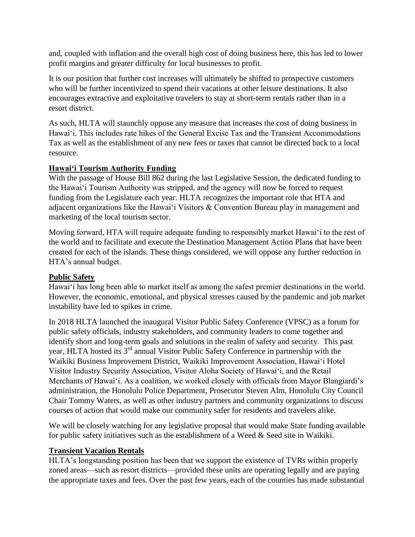and, coupled with inflation and the overall high cost of doing business here, this has led to lower profit margins and greater difficulty for local businesses to profit.

It is our position that further cost increases will ultimately be shifted to prospective customers who will be further incentivized to spend their vacations at other leisure destinations. It also encourages extractive and exploitative travelers to stay at short-term rentals rather than in a resort district.

As such, HLTA will staunchly oppose any measure that increases the cost of doing business in Hawai'i. This includes rate hikes of the General Excise Tax and the Transient Accommodations Tax as well as the establishment of any new fees or taxes that cannot be directed back to a local resource.

# **Hawai'i Tourism Authority Funding**

With the passage of House Bill 862 during the last Legislative Session, the dedicated funding to the Hawai'i Tourism Authority was stripped, and the agency will now be forced to request funding from the Legislature each year. HLTA recognizes the important role that HTA and adjacent organizations like the Hawai'i Visitors & Convention Bureau play in management and marketing of the local tourism sector.

Moving forward, HTA will require adequate funding to responsibly market Hawai'i to the rest of the world and to facilitate and execute the Destination Management Action Plans that have been created for each of the islands. These things considered, we will oppose any further reduction in HTA's annual budget.

# **Public Safety**

Hawai'i has long been able to market itself as among the safest premier destinations in the world. However, the economic, emotional, and physical stresses caused by the pandemic and job market instability have led to spikes in crime.

In 2018 HLTA launched the inaugural Visitor Public Safety Conference (VPSC) as a forum for public safety officials, industry stakeholders, and community leaders to come together and identify short and long-term goals and solutions in the realm of safety and security. This past year, HLTA hosted its 3<sup>rd</sup> annual Visitor Public Safety Conference in partnership with the Waikiki Business Improvement District, Waikiki Improvement Association, Hawai'i Hotel Visitor Industry Security Association, Visitor Aloha Society of Hawai'i, and the Retail Merchants of Hawai'i. As a coalition, we worked closely with officials from Mayor Blangiardi's administration, the Honolulu Police Department, Prosecutor Steven Alm, Honolulu City Council Chair Tommy Waters, as well as other industry partners and community organizations to discuss courses of action that would make our community safer for residents and travelers alike.

We will be closely watching for any legislative proposal that would make State funding available for public safety initiatives such as the establishment of a Weed & Seed site in Waikiki.

#### **Transient Vacation Rentals**

HLTA's longstanding position has been that we support the existence of TVRs within properly zoned areas—such as resort districts—provided these units are operating legally and are paying the appropriate taxes and fees. Over the past few years, each of the counties has made substantial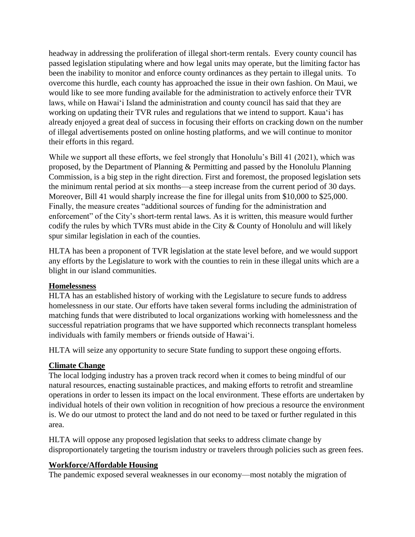headway in addressing the proliferation of illegal short-term rentals. Every county council has passed legislation stipulating where and how legal units may operate, but the limiting factor has been the inability to monitor and enforce county ordinances as they pertain to illegal units. To overcome this hurdle, each county has approached the issue in their own fashion. On Maui, we would like to see more funding available for the administration to actively enforce their TVR laws, while on Hawai'i Island the administration and county council has said that they are working on updating their TVR rules and regulations that we intend to support. Kaua'i has already enjoyed a great deal of success in focusing their efforts on cracking down on the number of illegal advertisements posted on online hosting platforms, and we will continue to monitor their efforts in this regard.

While we support all these efforts, we feel strongly that Honolulu's Bill 41 (2021), which was proposed, by the Department of Planning & Permitting and passed by the Honolulu Planning Commission, is a big step in the right direction. First and foremost, the proposed legislation sets the minimum rental period at six months—a steep increase from the current period of 30 days. Moreover, Bill 41 would sharply increase the fine for illegal units from \$10,000 to \$25,000. Finally, the measure creates "additional sources of funding for the administration and enforcement" of the City's short-term rental laws. As it is written, this measure would further codify the rules by which TVRs must abide in the City & County of Honolulu and will likely spur similar legislation in each of the counties.

HLTA has been a proponent of TVR legislation at the state level before, and we would support any efforts by the Legislature to work with the counties to rein in these illegal units which are a blight in our island communities.

#### **Homelessness**

HLTA has an established history of working with the Legislature to secure funds to address homelessness in our state. Our efforts have taken several forms including the administration of matching funds that were distributed to local organizations working with homelessness and the successful repatriation programs that we have supported which reconnects transplant homeless individuals with family members or friends outside of Hawai'i.

HLTA will seize any opportunity to secure State funding to support these ongoing efforts.

#### **Climate Change**

The local lodging industry has a proven track record when it comes to being mindful of our natural resources, enacting sustainable practices, and making efforts to retrofit and streamline operations in order to lessen its impact on the local environment. These efforts are undertaken by individual hotels of their own volition in recognition of how precious a resource the environment is. We do our utmost to protect the land and do not need to be taxed or further regulated in this area.

HLTA will oppose any proposed legislation that seeks to address climate change by disproportionately targeting the tourism industry or travelers through policies such as green fees.

#### **Workforce/Affordable Housing**

The pandemic exposed several weaknesses in our economy—most notably the migration of